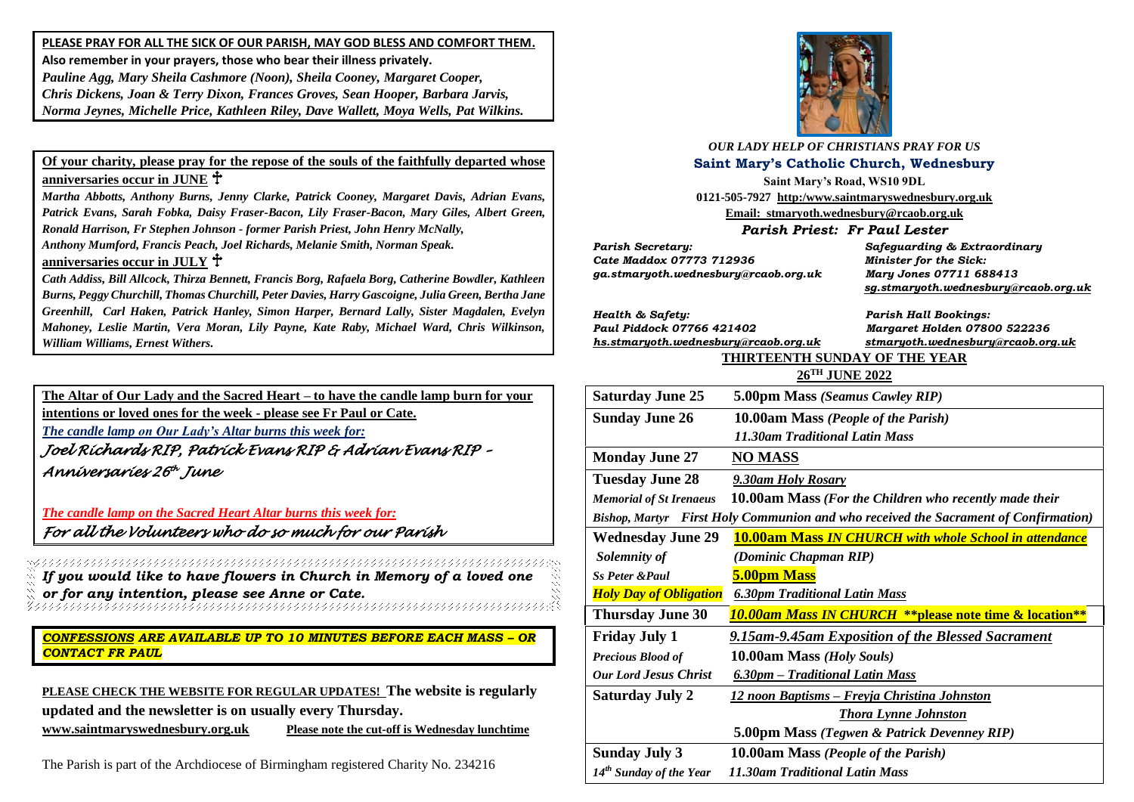**PLEASE PRAY FOR ALL THE SICK OF OUR PARISH, MAY GOD BLESS AND COMFORT THEM. Also remember in your prayers, those who bear their illness privately.** *Pauline Agg, Mary Sheila Cashmore (Noon), Sheila Cooney, Margaret Cooper, Chris Dickens, Joan & Terry Dixon, Frances Groves, Sean Hooper, Barbara Jarvis, Norma Jeynes, Michelle Price, Kathleen Riley, Dave Wallett, Moya Wells, Pat Wilkins.*

### **Of your charity, please pray for the repose of the souls of the faithfully departed whose anniversaries occur in JUNE**

*Martha Abbotts, Anthony Burns, Jenny Clarke, Patrick Cooney, Margaret Davis, Adrian Evans, Patrick Evans, Sarah Fobka, Daisy Fraser-Bacon, Lily Fraser-Bacon, Mary Giles, Albert Green, Ronald Harrison, Fr Stephen Johnson - former Parish Priest, John Henry McNally,*

*Anthony Mumford, Francis Peach, Joel Richards, Melanie Smith, Norman Speak.* 

#### **anniversaries occur in JULY**

*Cath Addiss, Bill Allcock, Thirza Bennett, Francis Borg, Rafaela Borg, Catherine Bowdler, Kathleen Burns, Peggy Churchill, Thomas Churchill, Peter Davies, Harry Gascoigne, Julia Green, Bertha Jane Greenhill, Carl Haken, Patrick Hanley, Simon Harper, Bernard Lally, Sister Magdalen, Evelyn Mahoney, Leslie Martin, Vera Moran, Lily Payne, Kate Raby, Michael Ward, Chris Wilkinson, William Williams, Ernest Withers.*

**The Altar of Our Lady and the Sacred Heart – to have the candle lamp burn for your** 

**intentions or loved ones for the week - please see Fr Paul or Cate.**

*The candle lamp on Our Lady's Altar burns this week for:*

*Joel Richards RIP, Patrick Evans RIP & Adrian Evans RIP – Anniversaries 26 th June* 

*The candle lamp on the Sacred Heart Altar burns this week for: For all the Volunteers who do so much for our Parish* 

*If you would like to have flowers in Church in Memory of a loved one or for any intention, please see Anne or Cate.*

*CONFESSIONS ARE AVAILABLE UP TO 10 MINUTES BEFORE EACH MASS – OR CONTACT FR PAUL*

**PLEASE CHECK THE WEBSITE FOR REGULAR UPDATES! The website is regularly updated and the newsletter is on usually every Thursday.** 

**[www.saintmaryswednesbury.org.uk](http://www.saintmaryswednesbury.org.uk/) Please note the cut-off is Wednesday lunchtime**

The Parish is part of the Archdiocese of Birmingham registered Charity No. 234216



*OUR LADY HELP OF CHRISTIANS PRAY FOR US* **Saint Mary's Catholic Church, Wednesbury**

**Saint Mary's Road, WS10 9DL 0121-505-7927 http:/www.saintmaryswednesbury.org.uk Email: stmaryoth.wednesbury@rcaob.org.uk**

*Parish Priest: Fr Paul Lester*

*Parish Secretary: Safeguarding & Extraordinary Cate Maddox 07773 712936 Minister for the Sick: ga.stmaryoth.wednesbury@rcaob.org.uk Mary Jones 07711 688413*

 *[sg.stmaryoth.wednesbury@rcaob.org.uk](mailto:sg.stmaryoth.wednesbury@rcaob.org.uk)*

*Health & Safety: Parish Hall Bookings: Paul Piddock 07766 421402 Margaret Holden 07800 522236*

*[hs.stmaryoth.wednesbury@rcaob.org.uk](mailto:hs.stmaryoth.wednesbury@rcaob.org.uk) stmaryoth.wednesbury@rcaob.org.uk*

# **THIRTEENTH SUNDAY OF THE YEAR**

| 26TH JUNE 2022                                                                      |                                                                   |
|-------------------------------------------------------------------------------------|-------------------------------------------------------------------|
| <b>Saturday June 25</b>                                                             | 5.00pm Mass (Seamus Cawley RIP)                                   |
| <b>Sunday June 26</b>                                                               | 10.00am Mass (People of the Parish)                               |
|                                                                                     | <b>11.30am Traditional Latin Mass</b>                             |
| <b>Monday June 27</b>                                                               | <b>NO MASS</b>                                                    |
| <b>Tuesday June 28</b>                                                              | 9.30am Holy Rosary                                                |
| <b>Memorial of St Irenaeus</b>                                                      | 10.00am Mass (For the Children who recently made their            |
| Bishop, Martyr First Holy Communion and who received the Sacrament of Confirmation) |                                                                   |
| <b>Wednesday June 29</b>                                                            | <b>10.00am Mass IN CHURCH with whole School in attendance</b>     |
| Solemnity of                                                                        | (Dominic Chapman RIP)                                             |
| <b>Ss Peter &amp; Paul</b>                                                          | 5.00pm Mass                                                       |
| <b>Holy Day of Obligation</b>                                                       | <b>6.30pm Traditional Latin Mass</b>                              |
| <b>Thursday June 30</b>                                                             | <b>10.00am Mass IN CHURCH **please note time &amp; location**</b> |
| <b>Friday July 1</b>                                                                | 9.15am-9.45am Exposition of the Blessed Sacrament                 |
| <b>Precious Blood of</b>                                                            | 10.00am Mass (Holy Souls)                                         |
| <b>Our Lord Jesus Christ</b>                                                        | 6.30pm – Traditional Latin Mass                                   |
| <b>Saturday July 2</b>                                                              | <u> 12 noon Baptisms – Freyja Christina Johnston</u>              |
|                                                                                     | <b>Thora Lynne Johnston</b>                                       |
|                                                                                     | 5.00pm Mass (Tegwen & Patrick Devenney RIP)                       |
| <b>Sunday July 3</b>                                                                | 10.00am Mass (People of the Parish)                               |
| 14 <sup>th</sup> Sunday of the Year                                                 | 11.30am Traditional Latin Mass                                    |
|                                                                                     |                                                                   |